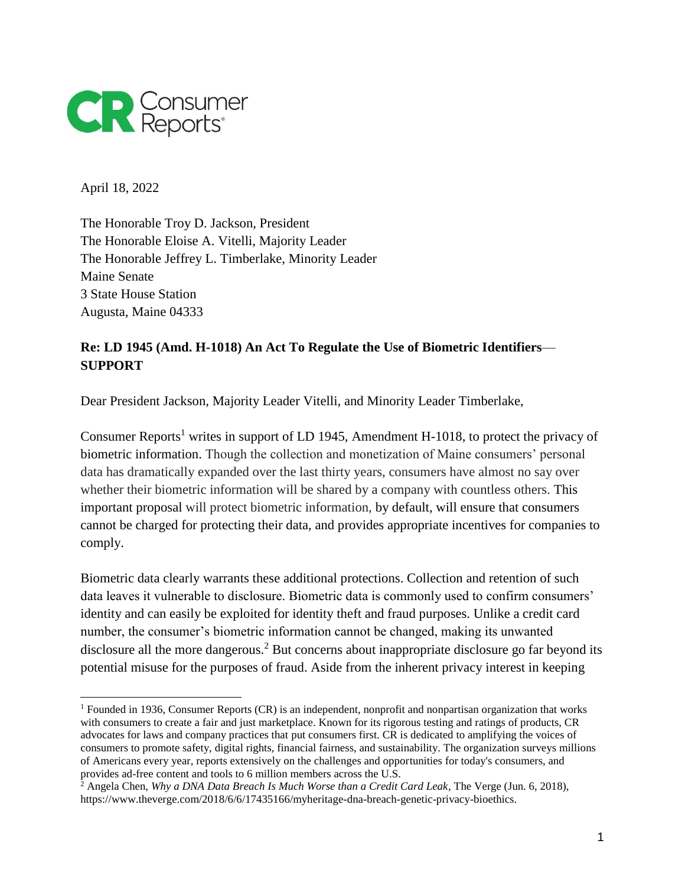

April 18, 2022

 $\overline{a}$ 

The Honorable Troy D. Jackson, President The Honorable Eloise A. Vitelli, Majority Leader The Honorable Jeffrey L. Timberlake, Minority Leader Maine Senate 3 State House Station Augusta, Maine 04333

## **Re: LD 1945 (Amd. H-1018) An Act To Regulate the Use of Biometric Identifiers**— **SUPPORT**

Dear President Jackson, Majority Leader Vitelli, and Minority Leader Timberlake,

Consumer Reports<sup>1</sup> writes in support of LD 1945, Amendment H-1018, to protect the privacy of biometric information. Though the collection and monetization of Maine consumers' personal data has dramatically expanded over the last thirty years, consumers have almost no say over whether their biometric information will be shared by a company with countless others. This important proposal will protect biometric information, by default, will ensure that consumers cannot be charged for protecting their data, and provides appropriate incentives for companies to comply.

Biometric data clearly warrants these additional protections. Collection and retention of such data leaves it vulnerable to disclosure. Biometric data is commonly used to confirm consumers' identity and can easily be exploited for identity theft and fraud purposes. Unlike a credit card number, the consumer's biometric information cannot be changed, making its unwanted disclosure all the more dangerous.<sup>2</sup> But concerns about inappropriate disclosure go far beyond its potential misuse for the purposes of fraud. Aside from the inherent privacy interest in keeping

<sup>1</sup> Founded in 1936, Consumer Reports (CR) is an independent, nonprofit and nonpartisan organization that works with consumers to create a fair and just marketplace. Known for its rigorous testing and ratings of products, CR advocates for laws and company practices that put consumers first. CR is dedicated to amplifying the voices of consumers to promote safety, digital rights, financial fairness, and sustainability. The organization surveys millions of Americans every year, reports extensively on the challenges and opportunities for today's consumers, and provides ad-free content and tools to 6 million members across the U.S.

<sup>2</sup> Angela Chen, *Why a DNA Data Breach Is Much Worse than a Credit Card Leak*, The Verge (Jun. 6, 2018), https://www.theverge.com/2018/6/6/17435166/myheritage-dna-breach-genetic-privacy-bioethics.